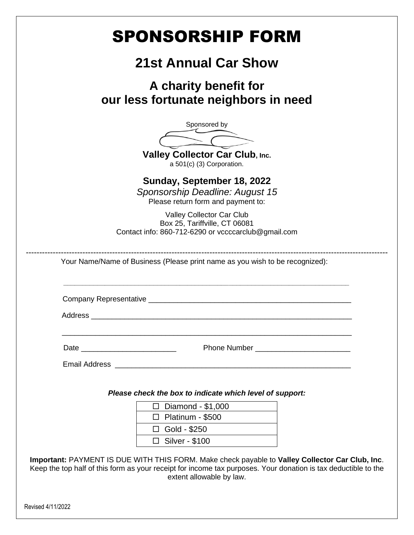| SPONSORSHIP FORM                                                                                                                                                                                                                              |  |
|-----------------------------------------------------------------------------------------------------------------------------------------------------------------------------------------------------------------------------------------------|--|
| <b>21st Annual Car Show</b>                                                                                                                                                                                                                   |  |
| A charity benefit for<br>our less fortunate neighbors in need                                                                                                                                                                                 |  |
| Sponsored by                                                                                                                                                                                                                                  |  |
| Valley Collector Car Club, Inc.<br>a 501(c) (3) Corporation.                                                                                                                                                                                  |  |
| Sunday, September 18, 2022<br>Sponsorship Deadline: August 15<br>Please return form and payment to:                                                                                                                                           |  |
| Valley Collector Car Club<br>Box 25, Tariffville, CT 06081<br>Contact info: 860-712-6290 or vccccarclub@gmail.com                                                                                                                             |  |
| Your Name/Name of Business (Please print name as you wish to be recognized):                                                                                                                                                                  |  |
| Company Representative                                                                                                                                                                                                                        |  |
| Address                                                                                                                                                                                                                                       |  |
|                                                                                                                                                                                                                                               |  |
|                                                                                                                                                                                                                                               |  |
| Please check the box to indicate which level of support:<br>$\Box$ Diamond - \$1,000<br>$\Box$ Platinum - \$500<br>$\Box$ Gold - \$250<br>$\Box$ Silver - \$100                                                                               |  |
| Important: PAYMENT IS DUE WITH THIS FORM. Make check payable to Valley Collector Car Club, Inc.<br>Keep the top half of this form as your receipt for income tax purposes. Your donation is tax deductible to the<br>extent allowable by law. |  |
| Revised 4/11/2022                                                                                                                                                                                                                             |  |